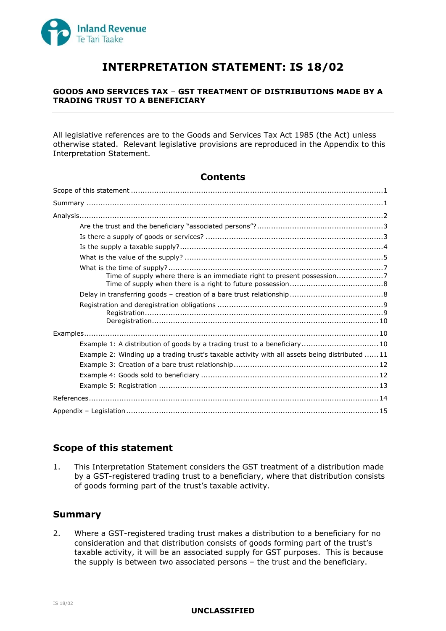

# **INTERPRETATION STATEMENT: IS 18/02**

## **GOODS AND SERVICES TAX** – **GST TREATMENT OF DISTRIBUTIONS MADE BY A TRADING TRUST TO A BENEFICIARY**

All legislative references are to the Goods and Services Tax Act 1985 (the Act) unless otherwise stated. Relevant legislative provisions are reproduced in the Appendix to this Interpretation Statement.

## **Contents**

| Example 1: A distribution of goods by a trading trust to a beneficiary 10                      |  |
|------------------------------------------------------------------------------------------------|--|
| Example 2: Winding up a trading trust's taxable activity with all assets being distributed  11 |  |
|                                                                                                |  |
|                                                                                                |  |
|                                                                                                |  |
|                                                                                                |  |
|                                                                                                |  |

## **Scope of this statement**

1. This Interpretation Statement considers the GST treatment of a distribution made by a GST-registered trading trust to a beneficiary, where that distribution consists of goods forming part of the trust's taxable activity.

# **Summary**

2. Where a GST-registered trading trust makes a distribution to a beneficiary for no consideration and that distribution consists of goods forming part of the trust's taxable activity, it will be an associated supply for GST purposes. This is because the supply is between two associated persons – the trust and the beneficiary.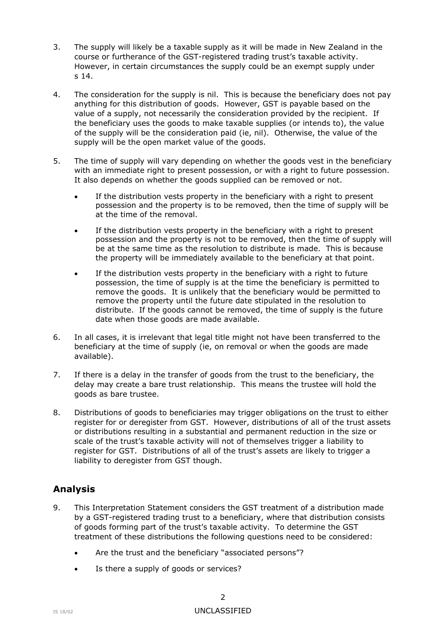- 3. The supply will likely be a taxable supply as it will be made in New Zealand in the course or furtherance of the GST-registered trading trust's taxable activity. However, in certain circumstances the supply could be an exempt supply under s 14.
- 4. The consideration for the supply is nil. This is because the beneficiary does not pay anything for this distribution of goods. However, GST is payable based on the value of a supply, not necessarily the consideration provided by the recipient. If the beneficiary uses the goods to make taxable supplies (or intends to), the value of the supply will be the consideration paid (ie, nil). Otherwise, the value of the supply will be the open market value of the goods.
- 5. The time of supply will vary depending on whether the goods vest in the beneficiary with an immediate right to present possession, or with a right to future possession. It also depends on whether the goods supplied can be removed or not.
	- If the distribution vests property in the beneficiary with a right to present possession and the property is to be removed, then the time of supply will be at the time of the removal.
	- If the distribution vests property in the beneficiary with a right to present possession and the property is not to be removed, then the time of supply will be at the same time as the resolution to distribute is made. This is because the property will be immediately available to the beneficiary at that point.
	- If the distribution vests property in the beneficiary with a right to future possession, the time of supply is at the time the beneficiary is permitted to remove the goods. It is unlikely that the beneficiary would be permitted to remove the property until the future date stipulated in the resolution to distribute. If the goods cannot be removed, the time of supply is the future date when those goods are made available.
- 6. In all cases, it is irrelevant that legal title might not have been transferred to the beneficiary at the time of supply (ie, on removal or when the goods are made available).
- 7. If there is a delay in the transfer of goods from the trust to the beneficiary, the delay may create a bare trust relationship. This means the trustee will hold the goods as bare trustee.
- 8. Distributions of goods to beneficiaries may trigger obligations on the trust to either register for or deregister from GST. However, distributions of all of the trust assets or distributions resulting in a substantial and permanent reduction in the size or scale of the trust's taxable activity will not of themselves trigger a liability to register for GST. Distributions of all of the trust's assets are likely to trigger a liability to deregister from GST though.

# **Analysis**

- 9. This Interpretation Statement considers the GST treatment of a distribution made by a GST-registered trading trust to a beneficiary, where that distribution consists of goods forming part of the trust's taxable activity. To determine the GST treatment of these distributions the following questions need to be considered:
	- Are the trust and the beneficiary "associated persons"?
	- Is there a supply of goods or services?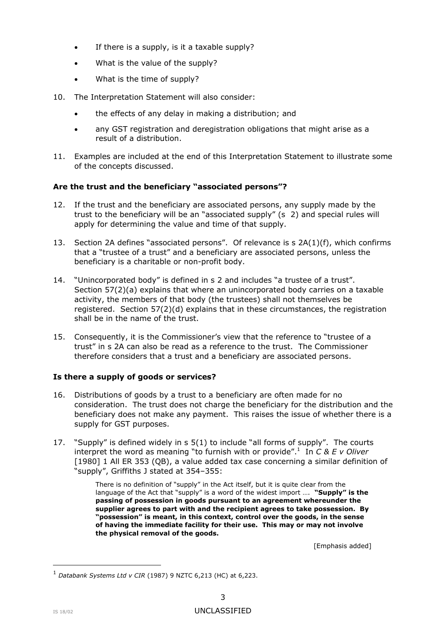- If there is a supply, is it a taxable supply?
- What is the value of the supply?
- What is the time of supply?
- 10. The Interpretation Statement will also consider:
	- the effects of any delay in making a distribution; and
	- any GST registration and deregistration obligations that might arise as a result of a distribution.
- 11. Examples are included at the end of this Interpretation Statement to illustrate some of the concepts discussed.

## **Are the trust and the beneficiary "associated persons"?**

- <span id="page-2-0"></span>12. If the trust and the beneficiary are associated persons, any supply made by the trust to the beneficiary will be an "associated supply" (s 2) and special rules will apply for determining the value and time of that supply.
- 13. Section 2A defines "associated persons". Of relevance is s 2A(1)(f), which confirms that a "trustee of a trust" and a beneficiary are associated persons, unless the beneficiary is a charitable or non-profit body.
- 14. "Unincorporated body" is defined in s 2 and includes "a trustee of a trust". Section 57(2)(a) explains that where an unincorporated body carries on a taxable activity, the members of that body (the trustees) shall not themselves be registered. Section 57(2)(d) explains that in these circumstances, the registration shall be in the name of the trust.
- 15. Consequently, it is the Commissioner's view that the reference to "trustee of a trust" in s 2A can also be read as a reference to the trust. The Commissioner therefore considers that a trust and a beneficiary are associated persons.

## **Is there a supply of goods or services?**

- 16. Distributions of goods by a trust to a beneficiary are often made for no consideration. The trust does not charge the beneficiary for the distribution and the beneficiary does not make any payment. This raises the issue of whether there is a supply for GST purposes.
- 17. "Supply" is defined widely in s 5(1) to include "all forms of supply". The courts interpret the word as meaning "to furnish with or provide".<sup>1</sup> In *C & E v Oliver* [1980] 1 All ER 353 (QB), a value added tax case concerning a similar definition of "supply", Griffiths J stated at 354–355:

There is no definition of "supply" in the Act itself, but it is quite clear from the language of the Act that "supply" is a word of the widest import …. **"Supply" is the passing of possession in goods pursuant to an agreement whereunder the supplier agrees to part with and the recipient agrees to take possession. By "possession" is meant, in this context, control over the goods, in the sense of having the immediate facility for their use. This may or may not involve the physical removal of the goods.**

[Emphasis added]

<sup>1</sup> *Databank Systems Ltd v CIR* (1987) 9 NZTC 6,213 (HC) at 6,223.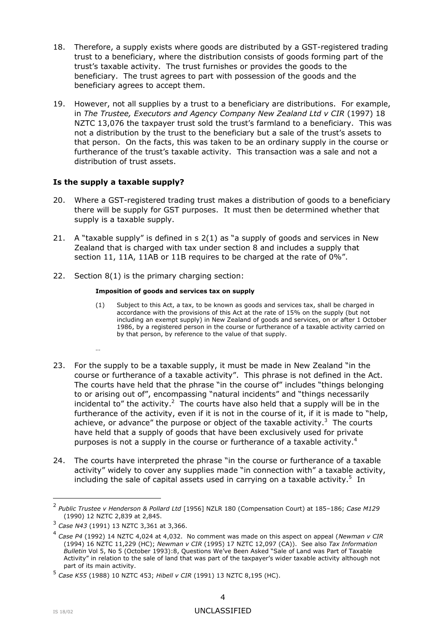- 18. Therefore, a supply exists where goods are distributed by a GST-registered trading trust to a beneficiary, where the distribution consists of goods forming part of the trust's taxable activity. The trust furnishes or provides the goods to the beneficiary. The trust agrees to part with possession of the goods and the beneficiary agrees to accept them.
- 19. However, not all supplies by a trust to a beneficiary are distributions. For example, in *The Trustee, Executors and Agency Company New Zealand Ltd v CIR* (1997) 18 NZTC 13,076 the taxpayer trust sold the trust's farmland to a beneficiary. This was not a distribution by the trust to the beneficiary but a sale of the trust's assets to that person. On the facts, this was taken to be an ordinary supply in the course or furtherance of the trust's taxable activity. This transaction was a sale and not a distribution of trust assets.

## **Is the supply a taxable supply?**

…

- 20. Where a GST-registered trading trust makes a distribution of goods to a beneficiary there will be supply for GST purposes. It must then be determined whether that supply is a taxable supply.
- 21. A "taxable supply" is defined in s 2(1) as "a supply of goods and services in New Zealand that is charged with tax under section 8 and includes a supply that section 11, 11A, 11AB or 11B requires to be charged at the rate of 0%".
- 22. Section 8(1) is the primary charging section:

#### **Imposition of goods and services tax on supply**

- (1) Subject to this Act, a tax, to be known as goods and services tax, shall be charged in accordance with the provisions of this Act at the rate of 15% on the supply (but not including an exempt supply) in New Zealand of goods and services, on or after 1 October 1986, by a registered person in the course or furtherance of a taxable activity carried on by that person, by reference to the value of that supply.
- 23. For the supply to be a taxable supply, it must be made in New Zealand "in the course or furtherance of a taxable activity". This phrase is not defined in the Act. The courts have held that the phrase "in the course of" includes "things belonging to or arising out of", encompassing "natural incidents" and "things necessarily incidental to" the activity. $<sup>2</sup>$  The courts have also held that a supply will be in the</sup> furtherance of the activity, even if it is not in the course of it, if it is made to "help, achieve, or advance" the purpose or object of the taxable activity.<sup>3</sup> The courts have held that a supply of goods that have been exclusively used for private purposes is not a supply in the course or furtherance of a taxable activity.<sup>4</sup>
- 24. The courts have interpreted the phrase "in the course or furtherance of a taxable activity" widely to cover any supplies made "in connection with" a taxable activity, including the sale of capital assets used in carrying on a taxable activity.<sup>5</sup> In

<sup>2</sup> *Public Trustee v Henderson & Pollard Ltd* [1956] NZLR 180 (Compensation Court) at 185–186; *Case M129* (1990) 12 NZTC 2,839 at 2,845.

<sup>3</sup> *Case N43* (1991) 13 NZTC 3,361 at 3,366.

<sup>4</sup> *Case P4* (1992) 14 NZTC 4,024 at 4,032. No comment was made on this aspect on appeal (*Newman v CIR* (1994) 16 NZTC 11,229 (HC); *Newman v CIR* (1995) 17 NZTC 12,097 (CA)). See also *Tax Information Bulletin* Vol 5, No 5 (October 1993):8, Questions We've Been Asked "Sale of Land was Part of Taxable Activity" in relation to the sale of land that was part of the taxpayer's wider taxable activity although not part of its main activity.

<sup>5</sup> *Case K55* (1988) 10 NZTC 453; *Hibell v CIR* (1991) 13 NZTC 8,195 (HC).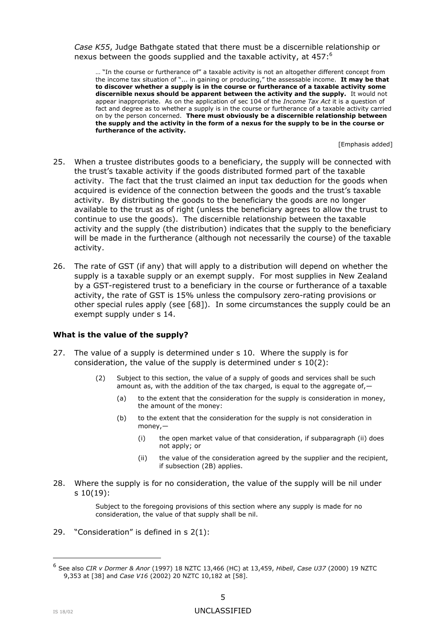*Case K55*, Judge Bathgate stated that there must be a discernible relationship or nexus between the goods supplied and the taxable activity, at 457:<sup>6</sup>

… "In the course or furtherance of" a taxable activity is not an altogether different concept from the income tax situation of "... in gaining or producing," the assessable income. **It may be that to discover whether a supply is in the course or furtherance of a taxable activity some discernible nexus should be apparent between the activity and the supply.** It would not appear inappropriate. As on the application of sec 104 of the *Income Tax Act* it is a question of fact and degree as to whether a supply is in the course or furtherance of a taxable activity carried on by the person concerned. **There must obviously be a discernible relationship between the supply and the activity in the form of a nexus for the supply to be in the course or furtherance of the activity.**

[Emphasis added]

- 25. When a trustee distributes goods to a beneficiary, the supply will be connected with the trust's taxable activity if the goods distributed formed part of the taxable activity. The fact that the trust claimed an input tax deduction for the goods when acquired is evidence of the connection between the goods and the trust's taxable activity. By distributing the goods to the beneficiary the goods are no longer available to the trust as of right (unless the beneficiary agrees to allow the trust to continue to use the goods). The discernible relationship between the taxable activity and the supply (the distribution) indicates that the supply to the beneficiary will be made in the furtherance (although not necessarily the course) of the taxable activity.
- 26. The rate of GST (if any) that will apply to a distribution will depend on whether the supply is a taxable supply or an exempt supply. For most supplies in New Zealand by a GST-registered trust to a beneficiary in the course or furtherance of a taxable activity, the rate of GST is 15% unless the compulsory zero-rating provisions or other special rules apply (see [\[68\]](#page-10-0)). In some circumstances the supply could be an exempt supply under s 14.

### **What is the value of the supply?**

- 27. The value of a supply is determined under s 10. Where the supply is for consideration, the value of the supply is determined under s 10(2):
	- (2) Subject to this section, the value of a supply of goods and services shall be such amount as, with the addition of the tax charged, is equal to the aggregate of, -
		- (a) to the extent that the consideration for the supply is consideration in money, the amount of the money:
		- (b) to the extent that the consideration for the supply is not consideration in money,—
			- (i) the open market value of that consideration, if subparagraph (ii) does not apply; or
			- (ii) the value of the consideration agreed by the supplier and the recipient, if subsection (2B) applies.
- 28. Where the supply is for no consideration, the value of the supply will be nil under s 10(19):

Subject to the foregoing provisions of this section where any supply is made for no consideration, the value of that supply shall be nil.

29. "Consideration" is defined in s 2(1):

<sup>6</sup> See also *CIR v Dormer & Anor* (1997) 18 NZTC 13,466 (HC) at 13,459, *Hibell*, *Case U37* (2000) 19 NZTC 9,353 at [38] and *Case V16* (2002) 20 NZTC 10,182 at [58].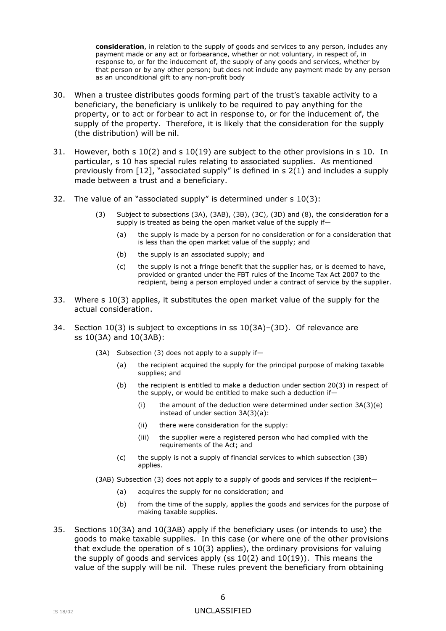**consideration**, in relation to the supply of goods and services to any person, includes any payment made or any act or forbearance, whether or not voluntary, in respect of, in response to, or for the inducement of, the supply of any goods and services, whether by that person or by any other person; but does not include any payment made by any person as an unconditional gift to any non-profit body

- 30. When a trustee distributes goods forming part of the trust's taxable activity to a beneficiary, the beneficiary is unlikely to be required to pay anything for the property, or to act or forbear to act in response to, or for the inducement of, the supply of the property. Therefore, it is likely that the consideration for the supply (the distribution) will be nil.
- 31. However, both s 10(2) and s 10(19) are subject to the other provisions in s 10. In particular, s 10 has special rules relating to associated supplies. As mentioned previously from [\[12\]](#page-2-0), "associated supply" is defined in s 2(1) and includes a supply made between a trust and a beneficiary.
- 32. The value of an "associated supply" is determined under s 10(3):
	- (3) Subject to subsections (3A), (3AB), (3B), (3C), (3D) and (8), the consideration for a supply is treated as being the open market value of the supply if—
		- (a) the supply is made by a person for no consideration or for a consideration that is less than the open market value of the supply; and
		- (b) the supply is an associated supply; and
		- (c) the supply is not a fringe benefit that the supplier has, or is deemed to have, provided or granted under the FBT rules of the Income Tax Act 2007 to the recipient, being a person employed under a contract of service by the supplier.
- 33. Where s 10(3) applies, it substitutes the open market value of the supply for the actual consideration.
- 34. Section 10(3) is subject to exceptions in ss 10(3A)–(3D). Of relevance are ss 10(3A) and 10(3AB):
	- (3A) Subsection (3) does not apply to a supply if—
		- (a) the recipient acquired the supply for the principal purpose of making taxable supplies; and
		- (b) the recipient is entitled to make a deduction under section 20(3) in respect of the supply, or would be entitled to make such a deduction if—
			- (i) the amount of the deduction were determined under section  $3A(3)(e)$ instead of under section 3A(3)(a):
			- (ii) there were consideration for the supply:
			- (iii) the supplier were a registered person who had complied with the requirements of the Act; and
		- (c) the supply is not a supply of financial services to which subsection (3B) applies.
	- (3AB) Subsection (3) does not apply to a supply of goods and services if the recipient—
		- (a) acquires the supply for no consideration; and
		- (b) from the time of the supply, applies the goods and services for the purpose of making taxable supplies.
- 35. Sections 10(3A) and 10(3AB) apply if the beneficiary uses (or intends to use) the goods to make taxable supplies. In this case (or where one of the other provisions that exclude the operation of  $s$  10(3) applies), the ordinary provisions for valuing the supply of goods and services apply (ss  $10(2)$  and  $10(19)$ ). This means the value of the supply will be nil. These rules prevent the beneficiary from obtaining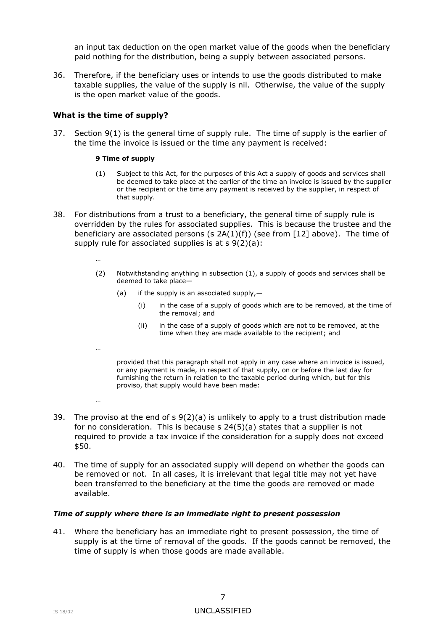an input tax deduction on the open market value of the goods when the beneficiary paid nothing for the distribution, being a supply between associated persons.

36. Therefore, if the beneficiary uses or intends to use the goods distributed to make taxable supplies, the value of the supply is nil. Otherwise, the value of the supply is the open market value of the goods.

## **What is the time of supply?**

…

…

…

37. Section 9(1) is the general time of supply rule. The time of supply is the earlier of the time the invoice is issued or the time any payment is received:

#### **9 Time of supply**

- (1) Subject to this Act, for the purposes of this Act a supply of goods and services shall be deemed to take place at the earlier of the time an invoice is issued by the supplier or the recipient or the time any payment is received by the supplier, in respect of that supply.
- 38. For distributions from a trust to a beneficiary, the general time of supply rule is overridden by the rules for associated supplies. This is because the trustee and the beneficiary are associated persons (s  $2A(1)(f)$ ) (see from [\[12\]](#page-2-0) above). The time of supply rule for associated supplies is at  $s \theta(2)(a)$ :
	- (2) Notwithstanding anything in subsection (1), a supply of goods and services shall be deemed to take place—
		- (a) if the supply is an associated supply, $-$ 
			- (i) in the case of a supply of goods which are to be removed, at the time of the removal; and
			- (ii) in the case of a supply of goods which are not to be removed, at the time when they are made available to the recipient; and

provided that this paragraph shall not apply in any case where an invoice is issued, or any payment is made, in respect of that supply, on or before the last day for furnishing the return in relation to the taxable period during which, but for this proviso, that supply would have been made:

- 39. The proviso at the end of  $s \theta(2)(a)$  is unlikely to apply to a trust distribution made for no consideration. This is because s 24(5)(a) states that a supplier is not required to provide a tax invoice if the consideration for a supply does not exceed \$50.
- 40. The time of supply for an associated supply will depend on whether the goods can be removed or not. In all cases, it is irrelevant that legal title may not yet have been transferred to the beneficiary at the time the goods are removed or made available.

### *Time of supply where there is an immediate right to present possession*

41. Where the beneficiary has an immediate right to present possession, the time of supply is at the time of removal of the goods. If the goods cannot be removed, the time of supply is when those goods are made available.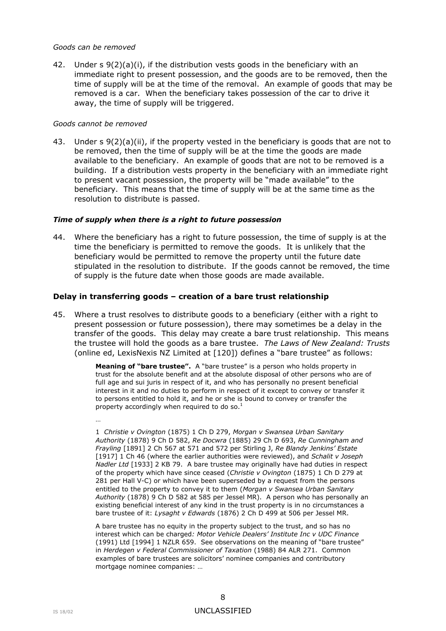#### *Goods can be removed*

42. Under s 9(2)(a)(i), if the distribution vests goods in the beneficiary with an immediate right to present possession, and the goods are to be removed, then the time of supply will be at the time of the removal. An example of goods that may be removed is a car. When the beneficiary takes possession of the car to drive it away, the time of supply will be triggered.

### *Goods cannot be removed*

43. Under s 9(2)(a)(ii), if the property vested in the beneficiary is goods that are not to be removed, then the time of supply will be at the time the goods are made available to the beneficiary. An example of goods that are not to be removed is a building. If a distribution vests property in the beneficiary with an immediate right to present vacant possession, the property will be "made available" to the beneficiary. This means that the time of supply will be at the same time as the resolution to distribute is passed.

### *Time of supply when there is a right to future possession*

44. Where the beneficiary has a right to future possession, the time of supply is at the time the beneficiary is permitted to remove the goods. It is unlikely that the beneficiary would be permitted to remove the property until the future date stipulated in the resolution to distribute. If the goods cannot be removed, the time of supply is the future date when those goods are made available.

## **Delay in transferring goods – creation of a bare trust relationship**

45. Where a trust resolves to distribute goods to a beneficiary (either with a right to present possession or future possession), there may sometimes be a delay in the transfer of the goods. This delay may create a bare trust relationship. This means the trustee will hold the goods as a bare trustee. *The Laws of New Zealand: Trusts* (online ed, LexisNexis NZ Limited at [120]) defines a "bare trustee" as follows:

> **Meaning of "bare trustee".** A "bare trustee" is a person who holds property in trust for the absolute benefit and at the absolute disposal of other persons who are of full age and sui juris in respect of it, and who has personally no present beneficial interest in it and no duties to perform in respect of it except to convey or transfer it to persons entitled to hold it, and he or she is bound to convey or transfer the property accordingly when required to do so.<sup>1</sup>

…

1 *Christie v Ovington* (1875) 1 Ch D 279, *Morgan v Swansea Urban Sanitary Authority* (1878) 9 Ch D 582, *Re Docwra* (1885) 29 Ch D 693, *Re Cunningham and Frayling* [1891] 2 Ch 567 at 571 and 572 per Stirling J, *Re Blandy Jenkins' Estate* [1917] 1 Ch 46 (where the earlier authorities were reviewed), and *Schalit v Joseph Nadler Ltd* [1933] 2 KB 79. A bare trustee may originally have had duties in respect of the property which have since ceased (*Christie v Ovington* (1875) 1 Ch D 279 at 281 per Hall V-C) or which have been superseded by a request from the persons entitled to the property to convey it to them (*Morgan v Swansea Urban Sanitary Authority* (1878) 9 Ch D 582 at 585 per Jessel MR). A person who has personally an existing beneficial interest of any kind in the trust property is in no circumstances a bare trustee of it: *Lysaght v Edwards* (1876) 2 Ch D 499 at 506 per Jessel MR.

A bare trustee has no equity in the property subject to the trust, and so has no interest which can be charged*: Motor Vehicle Dealers' Institute Inc v UDC Finance* (1991) Ltd [1994] 1 NZLR 659. See observations on the meaning of "bare trustee" in *Herdegen v Federal Commissioner of Taxation* (1988) 84 ALR 271. Common examples of bare trustees are solicitors' nominee companies and contributory mortgage nominee companies: …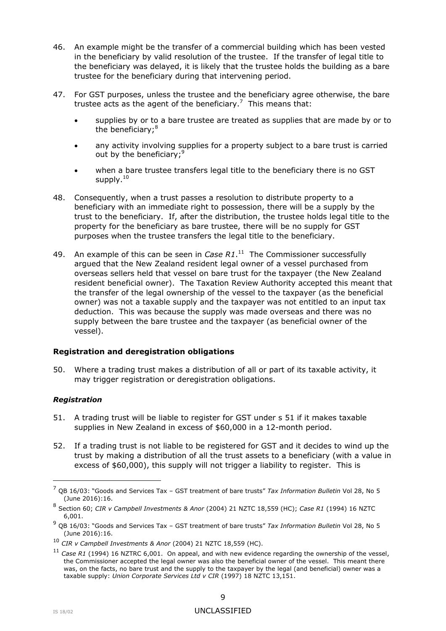- 46. An example might be the transfer of a commercial building which has been vested in the beneficiary by valid resolution of the trustee. If the transfer of legal title to the beneficiary was delayed, it is likely that the trustee holds the building as a bare trustee for the beneficiary during that intervening period.
- 47. For GST purposes, unless the trustee and the beneficiary agree otherwise, the bare trustee acts as the agent of the beneficiary.<sup>7</sup> This means that:
	- supplies by or to a bare trustee are treated as supplies that are made by or to the beneficiary;<sup>8</sup>
	- any activity involving supplies for a property subject to a bare trust is carried out by the beneficiary;<sup>9</sup>
	- when a bare trustee transfers legal title to the beneficiary there is no GST supply. $10$
- 48. Consequently, when a trust passes a resolution to distribute property to a beneficiary with an immediate right to possession, there will be a supply by the trust to the beneficiary. If, after the distribution, the trustee holds legal title to the property for the beneficiary as bare trustee, there will be no supply for GST purposes when the trustee transfers the legal title to the beneficiary.
- 49. An example of this can be seen in *Case R1*.<sup>11</sup> The Commissioner successfully argued that the New Zealand resident legal owner of a vessel purchased from overseas sellers held that vessel on bare trust for the taxpayer (the New Zealand resident beneficial owner). The Taxation Review Authority accepted this meant that the transfer of the legal ownership of the vessel to the taxpayer (as the beneficial owner) was not a taxable supply and the taxpayer was not entitled to an input tax deduction. This was because the supply was made overseas and there was no supply between the bare trustee and the taxpayer (as beneficial owner of the vessel).

## **Registration and deregistration obligations**

50. Where a trading trust makes a distribution of all or part of its taxable activity, it may trigger registration or deregistration obligations.

## *Registration*

- 51. A trading trust will be liable to register for GST under s 51 if it makes taxable supplies in New Zealand in excess of \$60,000 in a 12-month period.
- 52. If a trading trust is not liable to be registered for GST and it decides to wind up the trust by making a distribution of all the trust assets to a beneficiary (with a value in excess of \$60,000), this supply will not trigger a liability to register. This is

<sup>7</sup> QB 16/03: "Goods and Services Tax – GST treatment of bare trusts" *Tax Information Bulletin* Vol 28, No 5 (June 2016):16.

<sup>8</sup> Section 60; *CIR v Campbell Investments & Anor* (2004) 21 NZTC 18,559 (HC); *Case R1* (1994) 16 NZTC 6,001.

<sup>9</sup> QB 16/03: "Goods and Services Tax – GST treatment of bare trusts" *Tax Information Bulletin* Vol 28, No 5 (June 2016):16.

<sup>10</sup> *CIR v Campbell Investments & Anor* (2004) 21 NZTC 18,559 (HC).

<sup>11</sup> *Case R1* (1994) 16 NZTRC 6,001. On appeal, and with new evidence regarding the ownership of the vessel, the Commissioner accepted the legal owner was also the beneficial owner of the vessel. This meant there was, on the facts, no bare trust and the supply to the taxpayer by the legal (and beneficial) owner was a taxable supply: *Union Corporate Services Ltd v CIR* (1997) 18 NZTC 13,151.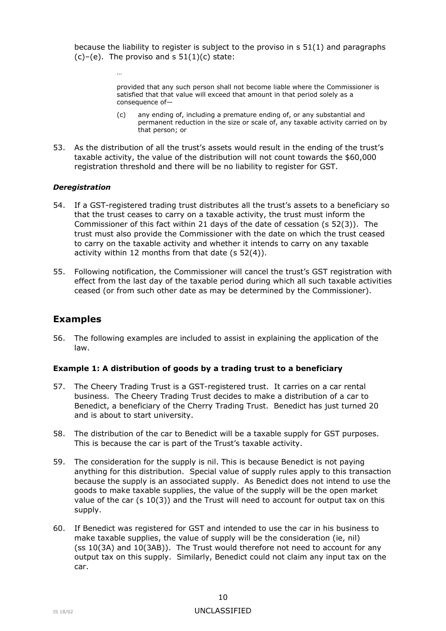because the liability to register is subject to the proviso in s 51(1) and paragraphs  $(c)-(e)$ . The proviso and s  $51(1)(c)$  state:

> provided that any such person shall not become liable where the Commissioner is satisfied that that value will exceed that amount in that period solely as a consequence of—

- (c) any ending of, including a premature ending of, or any substantial and permanent reduction in the size or scale of, any taxable activity carried on by that person; or
- 53. As the distribution of all the trust's assets would result in the ending of the trust's taxable activity, the value of the distribution will not count towards the \$60,000 registration threshold and there will be no liability to register for GST.

### *Deregistration*

…

- 54. If a GST-registered trading trust distributes all the trust's assets to a beneficiary so that the trust ceases to carry on a taxable activity, the trust must inform the Commissioner of this fact within 21 days of the date of cessation (s 52(3)). The trust must also provide the Commissioner with the date on which the trust ceased to carry on the taxable activity and whether it intends to carry on any taxable activity within 12 months from that date (s 52(4)).
- 55. Following notification, the Commissioner will cancel the trust's GST registration with effect from the last day of the taxable period during which all such taxable activities ceased (or from such other date as may be determined by the Commissioner).

# **Examples**

56. The following examples are included to assist in explaining the application of the law.

### **Example 1: A distribution of goods by a trading trust to a beneficiary**

- 57. The Cheery Trading Trust is a GST-registered trust. It carries on a car rental business. The Cheery Trading Trust decides to make a distribution of a car to Benedict, a beneficiary of the Cherry Trading Trust. Benedict has just turned 20 and is about to start university.
- 58. The distribution of the car to Benedict will be a taxable supply for GST purposes. This is because the car is part of the Trust's taxable activity.
- 59. The consideration for the supply is nil. This is because Benedict is not paying anything for this distribution. Special value of supply rules apply to this transaction because the supply is an associated supply. As Benedict does not intend to use the goods to make taxable supplies, the value of the supply will be the open market value of the car  $(s 10(3))$  and the Trust will need to account for output tax on this supply.
- 60. If Benedict was registered for GST and intended to use the car in his business to make taxable supplies, the value of supply will be the consideration (ie, nil) (ss 10(3A) and 10(3AB)). The Trust would therefore not need to account for any output tax on this supply. Similarly, Benedict could not claim any input tax on the car.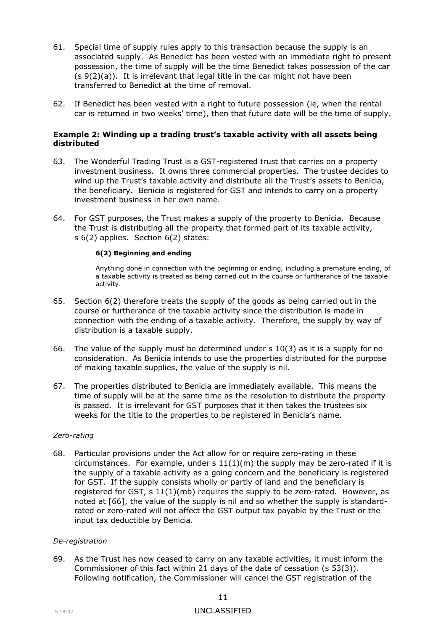- 61. Special time of supply rules apply to this transaction because the supply is an associated supply. As Benedict has been vested with an immediate right to present possession, the time of supply will be the time Benedict takes possession of the car  $(s \theta(2)(a))$ . It is irrelevant that legal title in the car might not have been transferred to Benedict at the time of removal.
- 62. If Benedict has been vested with a right to future possession (ie, when the rental car is returned in two weeks' time), then that future date will be the time of supply.

### **Example 2: Winding up a trading trust's taxable activity with all assets being distributed**

- 63. The Wonderful Trading Trust is a GST-registered trust that carries on a property investment business. It owns three commercial properties. The trustee decides to wind up the Trust's taxable activity and distribute all the Trust's assets to Benicia, the beneficiary. Benicia is registered for GST and intends to carry on a property investment business in her own name.
- 64. For GST purposes, the Trust makes a supply of the property to Benicia. Because the Trust is distributing all the property that formed part of its taxable activity, s 6(2) applies. Section 6(2) states:

#### **6(2) Beginning and ending**

Anything done in connection with the beginning or ending, including a premature ending, of a taxable activity is treated as being carried out in the course or furtherance of the taxable activity.

- 65. Section 6(2) therefore treats the supply of the goods as being carried out in the course or furtherance of the taxable activity since the distribution is made in connection with the ending of a taxable activity. Therefore, the supply by way of distribution is a taxable supply.
- <span id="page-10-1"></span>66. The value of the supply must be determined under s 10(3) as it is a supply for no consideration. As Benicia intends to use the properties distributed for the purpose of making taxable supplies, the value of the supply is nil.
- 67. The properties distributed to Benicia are immediately available. This means the time of supply will be at the same time as the resolution to distribute the property is passed. It is irrelevant for GST purposes that it then takes the trustees six weeks for the title to the properties to be registered in Benicia's name.

### *Zero-rating*

<span id="page-10-0"></span>68. Particular provisions under the Act allow for or require zero-rating in these circumstances. For example, under  $s 11(1)(m)$  the supply may be zero-rated if it is the supply of a taxable activity as a going concern and the beneficiary is registered for GST. If the supply consists wholly or partly of land and the beneficiary is registered for GST,  $s 11(1)(mb)$  requires the supply to be zero-rated. However, as noted at [\[66\]](#page-10-1), the value of the supply is nil and so whether the supply is standardrated or zero-rated will not affect the GST output tax payable by the Trust or the input tax deductible by Benicia.

### *De-registration*

69. As the Trust has now ceased to carry on any taxable activities, it must inform the Commissioner of this fact within 21 days of the date of cessation (s 53(3)). Following notification, the Commissioner will cancel the GST registration of the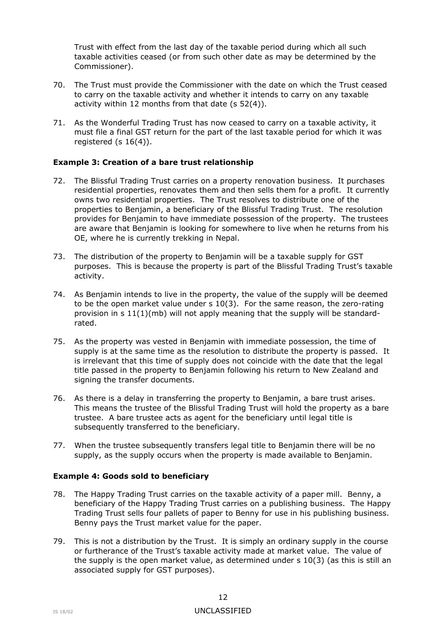Trust with effect from the last day of the taxable period during which all such taxable activities ceased (or from such other date as may be determined by the Commissioner).

- 70. The Trust must provide the Commissioner with the date on which the Trust ceased to carry on the taxable activity and whether it intends to carry on any taxable activity within 12 months from that date (s 52(4)).
- 71. As the Wonderful Trading Trust has now ceased to carry on a taxable activity, it must file a final GST return for the part of the last taxable period for which it was registered (s  $16(4)$ ).

## **Example 3: Creation of a bare trust relationship**

- 72. The Blissful Trading Trust carries on a property renovation business. It purchases residential properties, renovates them and then sells them for a profit. It currently owns two residential properties. The Trust resolves to distribute one of the properties to Benjamin, a beneficiary of the Blissful Trading Trust. The resolution provides for Benjamin to have immediate possession of the property. The trustees are aware that Benjamin is looking for somewhere to live when he returns from his OE, where he is currently trekking in Nepal.
- 73. The distribution of the property to Benjamin will be a taxable supply for GST purposes. This is because the property is part of the Blissful Trading Trust's taxable activity.
- 74. As Benjamin intends to live in the property, the value of the supply will be deemed to be the open market value under s 10(3). For the same reason, the zero-rating provision in s 11(1)(mb) will not apply meaning that the supply will be standardrated.
- 75. As the property was vested in Benjamin with immediate possession, the time of supply is at the same time as the resolution to distribute the property is passed. It is irrelevant that this time of supply does not coincide with the date that the legal title passed in the property to Benjamin following his return to New Zealand and signing the transfer documents.
- 76. As there is a delay in transferring the property to Benjamin, a bare trust arises. This means the trustee of the Blissful Trading Trust will hold the property as a bare trustee. A bare trustee acts as agent for the beneficiary until legal title is subsequently transferred to the beneficiary.
- 77. When the trustee subsequently transfers legal title to Benjamin there will be no supply, as the supply occurs when the property is made available to Benjamin.

## **Example 4: Goods sold to beneficiary**

- 78. The Happy Trading Trust carries on the taxable activity of a paper mill. Benny, a beneficiary of the Happy Trading Trust carries on a publishing business. The Happy Trading Trust sells four pallets of paper to Benny for use in his publishing business. Benny pays the Trust market value for the paper.
- 79. This is not a distribution by the Trust. It is simply an ordinary supply in the course or furtherance of the Trust's taxable activity made at market value. The value of the supply is the open market value, as determined under  $s$  10(3) (as this is still an associated supply for GST purposes).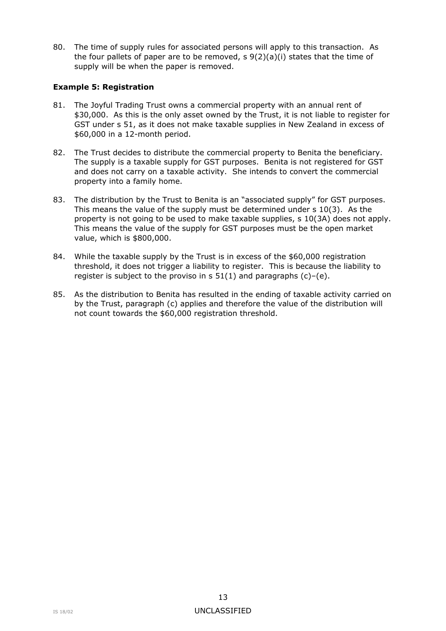80. The time of supply rules for associated persons will apply to this transaction. As the four pallets of paper are to be removed,  $s \theta(2)(a)(i)$  states that the time of supply will be when the paper is removed.

## **Example 5: Registration**

- 81. The Joyful Trading Trust owns a commercial property with an annual rent of \$30,000. As this is the only asset owned by the Trust, it is not liable to register for GST under s 51, as it does not make taxable supplies in New Zealand in excess of \$60,000 in a 12-month period.
- 82. The Trust decides to distribute the commercial property to Benita the beneficiary. The supply is a taxable supply for GST purposes. Benita is not registered for GST and does not carry on a taxable activity. She intends to convert the commercial property into a family home.
- 83. The distribution by the Trust to Benita is an "associated supply" for GST purposes. This means the value of the supply must be determined under s 10(3). As the property is not going to be used to make taxable supplies, s 10(3A) does not apply. This means the value of the supply for GST purposes must be the open market value, which is \$800,000.
- 84. While the taxable supply by the Trust is in excess of the \$60,000 registration threshold, it does not trigger a liability to register. This is because the liability to register is subject to the proviso in  $s$  51(1) and paragraphs (c)–(e).
- 85. As the distribution to Benita has resulted in the ending of taxable activity carried on by the Trust, paragraph (c) applies and therefore the value of the distribution will not count towards the \$60,000 registration threshold.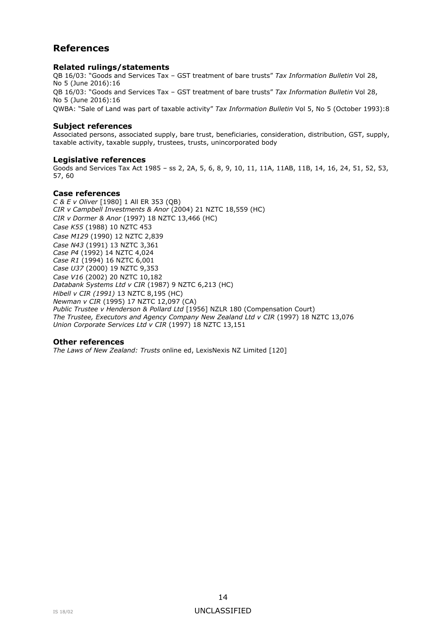# **References**

#### **Related rulings/statements**

QB 16/03: "Goods and Services Tax – GST treatment of bare trusts" *Tax Information Bulletin* Vol 28, No 5 (June 2016):16 QB 16/03: "Goods and Services Tax – GST treatment of bare trusts" *Tax Information Bulletin* Vol 28, No 5 (June 2016):16 QWBA: "Sale of Land was part of taxable activity" *Tax Information Bulletin* Vol 5, No 5 (October 1993):8

### **Subject references**

Associated persons, associated supply, bare trust, beneficiaries, consideration, distribution, GST, supply, taxable activity, taxable supply, trustees, trusts, unincorporated body

#### **Legislative references**

Goods and Services Tax Act 1985 – ss 2, 2A, 5, 6, 8, 9, 10, 11, 11A, 11AB, 11B, 14, 16, 24, 51, 52, 53, 57, 60

#### **Case references**

*C & E v Oliver* [1980] 1 All ER 353 (QB) *CIR v Campbell Investments & Anor* (2004) 21 NZTC 18,559 (HC) *CIR v Dormer & Anor* (1997) 18 NZTC 13,466 (HC) *Case K55* (1988) 10 NZTC 453 *Case M129* (1990) 12 NZTC 2,839 *Case N43* (1991) 13 NZTC 3,361 *Case P4* (1992) 14 NZTC 4,024 *Case R1* (1994) 16 NZTC 6,001 *Case U37* (2000) 19 NZTC 9,353 *Case V16* (2002) 20 NZTC 10,182 *Databank Systems Ltd v CIR* (1987) 9 NZTC 6,213 (HC) *Hibell v CIR (1991)* 13 NZTC 8,195 (HC) *Newman v CIR* (1995) 17 NZTC 12,097 (CA) *Public Trustee v Henderson & Pollard Ltd* [1956] NZLR 180 (Compensation Court) *The Trustee, Executors and Agency Company New Zealand Ltd v CIR* (1997) 18 NZTC 13,076 *Union Corporate Services Ltd v CIR* (1997) 18 NZTC 13,151

#### **Other references**

*The Laws of New Zealand: Trusts* online ed, LexisNexis NZ Limited [120]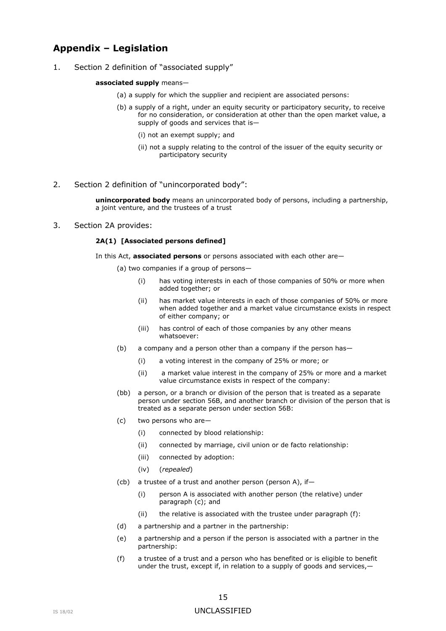# **Appendix – Legislation**

1. Section 2 definition of "associated supply"

#### **associated supply** means—

- (a) a supply for which the supplier and recipient are associated persons:
- (b) a supply of a right, under an equity security or participatory security, to receive for no consideration, or consideration at other than the open market value, a supply of goods and services that is—
	- (i) not an exempt supply; and
	- (ii) not a supply relating to the control of the issuer of the equity security or participatory security
- 2. Section 2 definition of "unincorporated body":

**unincorporated body** means an unincorporated body of persons, including a partnership, a joint venture, and the trustees of a trust

#### 3. Section 2A provides:

#### **2A(1) [Associated persons defined]**

In this Act, **[associated persons](http://prod.resource.wkasiapacific.com/resource/scion/citation/pit/io744740sl26712399/NTSLEG1_HANDLE?cfu=WKAP&cpid=WKAP-TAL-IC&uAppCtx=RWI)** or persons associated with each other are—

(a) two companies if a group of persons—

- (i) has voting interests in each of those companies of 50% or more when added together; or
- (ii) has market value interests in each of those companies of 50% or more when added together and a market value circumstance exists in respect of either [company;](http://prod.resource.wkasiapacific.com/resource/scion/citation/pit/io744740sl26712418/NTSLEG1_HANDLE?cfu=WKAP&cpid=WKAP-TAL-IC&uAppCtx=RWI) or
- (iii) has control of each of those companies by any other means whatsoever:
- (b) a [company](http://prod.resource.wkasiapacific.com/resource/scion/citation/pit/io744740sl26712418/NTSLEG1_HANDLE?cfu=WKAP&cpid=WKAP-TAL-IC&uAppCtx=RWI) and a [person](http://prod.resource.wkasiapacific.com/resource/scion/citation/pit/io744740sl26712490/NTSLEG1_HANDLE?cfu=WKAP&cpid=WKAP-TAL-IC&uAppCtx=RWI) other than a [company](http://prod.resource.wkasiapacific.com/resource/scion/citation/pit/io744740sl26712418/NTSLEG1_HANDLE?cfu=WKAP&cpid=WKAP-TAL-IC&uAppCtx=RWI) if the [person](http://prod.resource.wkasiapacific.com/resource/scion/citation/pit/io744740sl26712490/NTSLEG1_HANDLE?cfu=WKAP&cpid=WKAP-TAL-IC&uAppCtx=RWI) has—
	- (i) a voting interest in the [company](http://prod.resource.wkasiapacific.com/resource/scion/citation/pit/io744740sl26712418/NTSLEG1_HANDLE?cfu=WKAP&cpid=WKAP-TAL-IC&uAppCtx=RWI) of 25% or more; or
	- (ii) a market value interest in the [company](http://prod.resource.wkasiapacific.com/resource/scion/citation/pit/io744740sl26712418/NTSLEG1_HANDLE?cfu=WKAP&cpid=WKAP-TAL-IC&uAppCtx=RWI) of 25% or more and a market value circumstance exists in respect of the [company:](http://prod.resource.wkasiapacific.com/resource/scion/citation/pit/io744740sl26712418/NTSLEG1_HANDLE?cfu=WKAP&cpid=WKAP-TAL-IC&uAppCtx=RWI)
- (bb) a [person,](http://prod.resource.wkasiapacific.com/resource/scion/citation/pit/io744740sl26712490/NTSLEG1_HANDLE?cfu=WKAP&cpid=WKAP-TAL-IC&uAppCtx=RWI) or a branch or division of the [person](http://prod.resource.wkasiapacific.com/resource/scion/citation/pit/io744740sl26712490/NTSLEG1_HANDLE?cfu=WKAP&cpid=WKAP-TAL-IC&uAppCtx=RWI) that is treated as a separate [person](http://prod.resource.wkasiapacific.com/resource/scion/citation/pit/io744740sl26712490/NTSLEG1_HANDLE?cfu=WKAP&cpid=WKAP-TAL-IC&uAppCtx=RWI) under section [56B,](http://prod.resource.wkasiapacific.com/resource/scion/citation/pit/io744829sl26715806/NTSLEG1_HANDLE?cfu=WKAP&cpid=WKAP-TAL-IC&uAppCtx=RWI) and another branch or division of the [person](http://prod.resource.wkasiapacific.com/resource/scion/citation/pit/io744740sl26712490/NTSLEG1_HANDLE?cfu=WKAP&cpid=WKAP-TAL-IC&uAppCtx=RWI) that is treated as a separate [person](http://prod.resource.wkasiapacific.com/resource/scion/citation/pit/io744740sl26712490/NTSLEG1_HANDLE?cfu=WKAP&cpid=WKAP-TAL-IC&uAppCtx=RWI) under section [56B:](http://prod.resource.wkasiapacific.com/resource/scion/citation/pit/io744829sl26715806/NTSLEG1_HANDLE?cfu=WKAP&cpid=WKAP-TAL-IC&uAppCtx=RWI)
- (c) two persons who are—
	- (i) connected by blood relationship:
	- (ii) connected by marriage, civil union or de facto relationship:
	- (iii) connected by adoption:
	- (iv) (*repealed*)
- (cb) a [trustee](http://prod.resource.wkasiapacific.com/resource/scion/citation/pit/io744740sl26712546/NTSLEG1_HANDLE?cfu=WKAP&cpid=WKAP-TAL-IC&uAppCtx=RWI) of a trust and another [person](http://prod.resource.wkasiapacific.com/resource/scion/citation/pit/io744740sl26712490/NTSLEG1_HANDLE?cfu=WKAP&cpid=WKAP-TAL-IC&uAppCtx=RWI) [\(person](http://prod.resource.wkasiapacific.com/resource/scion/citation/pit/io744740sl26712490/NTSLEG1_HANDLE?cfu=WKAP&cpid=WKAP-TAL-IC&uAppCtx=RWI) A), if—
	- (i) [person](http://prod.resource.wkasiapacific.com/resource/scion/citation/pit/io744740sl26712490/NTSLEG1_HANDLE?cfu=WKAP&cpid=WKAP-TAL-IC&uAppCtx=RWI) A is associated with another [person](http://prod.resource.wkasiapacific.com/resource/scion/citation/pit/io744740sl26712490/NTSLEG1_HANDLE?cfu=WKAP&cpid=WKAP-TAL-IC&uAppCtx=RWI) (the relative) under paragraph (c); and
	- (ii) the relative is associated with the [trustee](http://prod.resource.wkasiapacific.com/resource/scion/citation/pit/io744740sl26712546/NTSLEG1_HANDLE?cfu=WKAP&cpid=WKAP-TAL-IC&uAppCtx=RWI) under paragraph (f):
- (d) a [partnership](http://prod.resource.wkasiapacific.com/resource/scion/citation/pit/io744740sl170615741/NTSLEG1_HANDLE?cfu=WKAP&cpid=WKAP-TAL-IC&uAppCtx=RWI) and a [partner](http://prod.resource.wkasiapacific.com/resource/scion/citation/pit/io744740sl467265315/NTSLEG1_HANDLE?cfu=WKAP&cpid=WKAP-TAL-IC&uAppCtx=RWI) in the [partnership:](http://prod.resource.wkasiapacific.com/resource/scion/citation/pit/io744740sl170615741/NTSLEG1_HANDLE?cfu=WKAP&cpid=WKAP-TAL-IC&uAppCtx=RWI)
- (e) a [partnership](http://prod.resource.wkasiapacific.com/resource/scion/citation/pit/io744740sl170615741/NTSLEG1_HANDLE?cfu=WKAP&cpid=WKAP-TAL-IC&uAppCtx=RWI) and a [person](http://prod.resource.wkasiapacific.com/resource/scion/citation/pit/io744740sl26712490/NTSLEG1_HANDLE?cfu=WKAP&cpid=WKAP-TAL-IC&uAppCtx=RWI) if the [person](http://prod.resource.wkasiapacific.com/resource/scion/citation/pit/io744740sl26712490/NTSLEG1_HANDLE?cfu=WKAP&cpid=WKAP-TAL-IC&uAppCtx=RWI) is associated with a [partner](http://prod.resource.wkasiapacific.com/resource/scion/citation/pit/io744740sl467265315/NTSLEG1_HANDLE?cfu=WKAP&cpid=WKAP-TAL-IC&uAppCtx=RWI) in the [partnership:](http://prod.resource.wkasiapacific.com/resource/scion/citation/pit/io744740sl170615741/NTSLEG1_HANDLE?cfu=WKAP&cpid=WKAP-TAL-IC&uAppCtx=RWI)
- (f) a [trustee](http://prod.resource.wkasiapacific.com/resource/scion/citation/pit/io744740sl26712546/NTSLEG1_HANDLE?cfu=WKAP&cpid=WKAP-TAL-IC&uAppCtx=RWI) of a trust and a [person](http://prod.resource.wkasiapacific.com/resource/scion/citation/pit/io744740sl26712490/NTSLEG1_HANDLE?cfu=WKAP&cpid=WKAP-TAL-IC&uAppCtx=RWI) who has benefited or is eligible to benefit under the trust, except if, in relation to a supply of [goods](http://prod.resource.wkasiapacific.com/resource/scion/citation/pit/io744740sl26712448/NTSLEG1_HANDLE?cfu=WKAP&cpid=WKAP-TAL-IC&uAppCtx=RWI) and [services,](http://prod.resource.wkasiapacific.com/resource/scion/citation/pit/io744740sl26712509/NTSLEG1_HANDLE?cfu=WKAP&cpid=WKAP-TAL-IC&uAppCtx=RWI)-

### IS 18/02 UNCLASSIFIED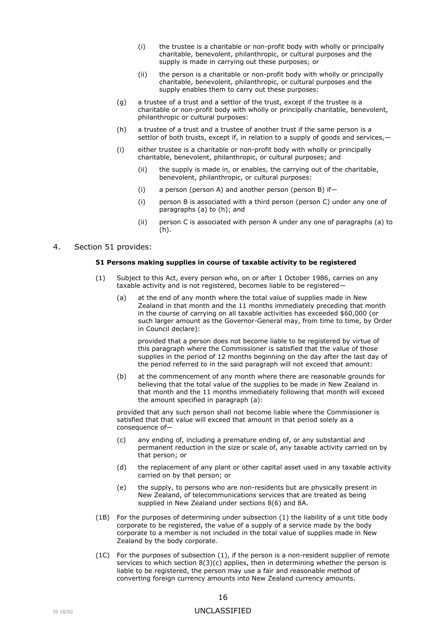- (i) the [trustee](http://prod.resource.wkasiapacific.com/resource/scion/citation/pit/io744740sl26712546/NTSLEG1_HANDLE?cfu=WKAP&cpid=WKAP-TAL-IC&uAppCtx=RWI) is a charitable or [non-profit body](http://prod.resource.wkasiapacific.com/resource/scion/citation/pit/io744740sl26712480/NTSLEG1_HANDLE?cfu=WKAP&cpid=WKAP-TAL-IC&uAppCtx=RWI) with wholly or principally charitable, benevolent, philanthropic, or cultural purposes and the supply is made in carrying out these purposes; or
- (ii) the [person](http://prod.resource.wkasiapacific.com/resource/scion/citation/pit/io744740sl26712490/NTSLEG1_HANDLE?cfu=WKAP&cpid=WKAP-TAL-IC&uAppCtx=RWI) is a charitable or [non-profit body](http://prod.resource.wkasiapacific.com/resource/scion/citation/pit/io744740sl26712480/NTSLEG1_HANDLE?cfu=WKAP&cpid=WKAP-TAL-IC&uAppCtx=RWI) with wholly or principally charitable, benevolent, philanthropic, or cultural purposes and the supply enables them to carry out these purposes:
- (g) a [trustee](http://prod.resource.wkasiapacific.com/resource/scion/citation/pit/io744740sl26712546/NTSLEG1_HANDLE?cfu=WKAP&cpid=WKAP-TAL-IC&uAppCtx=RWI) of a trust and a settlor of the trust, except if the [trustee](http://prod.resource.wkasiapacific.com/resource/scion/citation/pit/io744740sl26712546/NTSLEG1_HANDLE?cfu=WKAP&cpid=WKAP-TAL-IC&uAppCtx=RWI) is a charitable or [non-profit body](http://prod.resource.wkasiapacific.com/resource/scion/citation/pit/io744740sl26712480/NTSLEG1_HANDLE?cfu=WKAP&cpid=WKAP-TAL-IC&uAppCtx=RWI) with wholly or principally charitable, benevolent, philanthropic or cultural purposes:
- (h) a [trustee](http://prod.resource.wkasiapacific.com/resource/scion/citation/pit/io744740sl26712546/NTSLEG1_HANDLE?cfu=WKAP&cpid=WKAP-TAL-IC&uAppCtx=RWI) of a trust and a [trustee](http://prod.resource.wkasiapacific.com/resource/scion/citation/pit/io744740sl26712546/NTSLEG1_HANDLE?cfu=WKAP&cpid=WKAP-TAL-IC&uAppCtx=RWI) of another trust if the same [person](http://prod.resource.wkasiapacific.com/resource/scion/citation/pit/io744740sl26712490/NTSLEG1_HANDLE?cfu=WKAP&cpid=WKAP-TAL-IC&uAppCtx=RWI) is a settlor of both trusts, except if, in relation to a supply of [goods](http://prod.resource.wkasiapacific.com/resource/scion/citation/pit/io744740sl26712448/NTSLEG1_HANDLE?cfu=WKAP&cpid=WKAP-TAL-IC&uAppCtx=RWI) and [services,](http://prod.resource.wkasiapacific.com/resource/scion/citation/pit/io744740sl26712509/NTSLEG1_HANDLE?cfu=WKAP&cpid=WKAP-TAL-IC&uAppCtx=RWI)—
- (i) either [trustee](http://prod.resource.wkasiapacific.com/resource/scion/citation/pit/io744740sl26712546/NTSLEG1_HANDLE?cfu=WKAP&cpid=WKAP-TAL-IC&uAppCtx=RWI) is a charitable or [non-profit body](http://prod.resource.wkasiapacific.com/resource/scion/citation/pit/io744740sl26712480/NTSLEG1_HANDLE?cfu=WKAP&cpid=WKAP-TAL-IC&uAppCtx=RWI) with wholly or principally charitable, benevolent, philanthropic, or cultural purposes; and
	- (ii) the supply is made in, or enables, the carrying out of the charitable, benevolent, philanthropic, or cultural purposes:
	- (i) a [person](http://prod.resource.wkasiapacific.com/resource/scion/citation/pit/io744740sl26712490/NTSLEG1_HANDLE?cfu=WKAP&cpid=WKAP-TAL-IC&uAppCtx=RWI) [\(person](http://prod.resource.wkasiapacific.com/resource/scion/citation/pit/io744740sl26712490/NTSLEG1_HANDLE?cfu=WKAP&cpid=WKAP-TAL-IC&uAppCtx=RWI) A) and another [person](http://prod.resource.wkasiapacific.com/resource/scion/citation/pit/io744740sl26712490/NTSLEG1_HANDLE?cfu=WKAP&cpid=WKAP-TAL-IC&uAppCtx=RWI) [\(person](http://prod.resource.wkasiapacific.com/resource/scion/citation/pit/io744740sl26712490/NTSLEG1_HANDLE?cfu=WKAP&cpid=WKAP-TAL-IC&uAppCtx=RWI) B) if—
	- (i) [person](http://prod.resource.wkasiapacific.com/resource/scion/citation/pit/io744740sl26712490/NTSLEG1_HANDLE?cfu=WKAP&cpid=WKAP-TAL-IC&uAppCtx=RWI) B is associated with a third [person](http://prod.resource.wkasiapacific.com/resource/scion/citation/pit/io744740sl26712490/NTSLEG1_HANDLE?cfu=WKAP&cpid=WKAP-TAL-IC&uAppCtx=RWI) [\(person](http://prod.resource.wkasiapacific.com/resource/scion/citation/pit/io744740sl26712490/NTSLEG1_HANDLE?cfu=WKAP&cpid=WKAP-TAL-IC&uAppCtx=RWI) C) under any one of paragraphs (a) to (h); and
	- (ii) [person](http://prod.resource.wkasiapacific.com/resource/scion/citation/pit/io744740sl26712490/NTSLEG1_HANDLE?cfu=WKAP&cpid=WKAP-TAL-IC&uAppCtx=RWI) C is associated with [person](http://prod.resource.wkasiapacific.com/resource/scion/citation/pit/io744740sl26712490/NTSLEG1_HANDLE?cfu=WKAP&cpid=WKAP-TAL-IC&uAppCtx=RWI) A under any one of paragraphs (a) to  $(h)$ .

#### 4. Section 51 provides:

#### **51 Persons making supplies in course of taxable activity to be registered**

- (1) Subject to this Act, every person who, on or after 1 October 1986, carries on any taxable activity and is not registered, becomes liable to be registered—
	- (a) at the end of any month where the total value of supplies made in New Zealand in that month and the 11 months immediately preceding that month in the course of carrying on all taxable activities has exceeded \$60,000 (or such larger amount as the Governor-General may, from time to time, by Order in Council declare):

provided that a person does not become liable to be registered by virtue of this paragraph where the Commissioner is satisfied that the value of those supplies in the period of 12 months beginning on the day after the last day of the period referred to in the said paragraph will not exceed that amount:

(b) at the commencement of any month where there are reasonable grounds for believing that the total value of the supplies to be made in New Zealand in that month and the 11 months immediately following that month will exceed the amount specified in paragraph (a):

provided that any such person shall not become liable where the Commissioner is satisfied that that value will exceed that amount in that period solely as a consequence of—

- (c) any ending of, including a premature ending of, or any substantial and permanent reduction in the size or scale of, any taxable activity carried on by that person; or
- (d) the replacement of any plant or other capital asset used in any taxable activity carried on by that person; or
- (e) the supply, to persons who are non-residents but are physically present in New Zealand, of telecommunications services that are treated as being supplied in New Zealand under [sections 8\(6\)](http://legislation.govt.nz/act/public/1985/0141/latest/link.aspx?search=ts_act%40bill%40regulation%40deemedreg_goods+and+services+tax+act_resel_25_a&p=1&id=DLM82299#DLM82299) and [8A.](http://legislation.govt.nz/act/public/1985/0141/latest/link.aspx?search=ts_act%40bill%40regulation%40deemedreg_goods+and+services+tax+act_resel_25_a&p=1&id=DLM82416#DLM82416)
- (1B) For the purposes of determining under subsection (1) the liability of a unit title body corporate to be registered, the value of a supply of a service made by the body corporate to a member is not included in the total value of supplies made in New Zealand by the body corporate.
- (1C) For the purposes of subsection (1), if the person is a non-resident supplier of remote services to which section  $8(3)(c)$  applies, then in determining whether the person is liable to be registered, the person may use a fair and reasonable method of converting foreign currency amounts into New Zealand currency amounts.

## IS 18/02 UNCLASSIFIED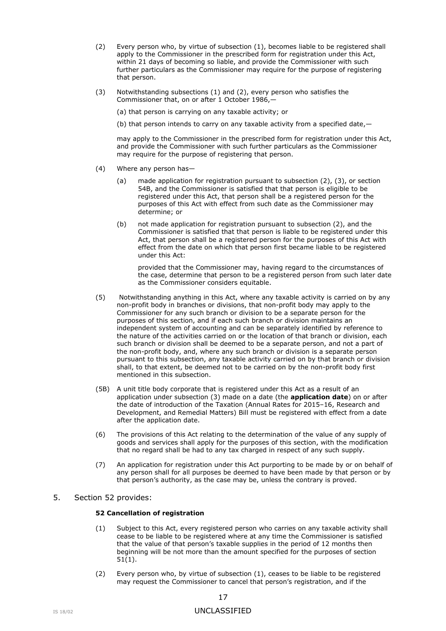- (2) Every person who, by virtue of subsection (1), becomes liable to be registered shall apply to the Commissioner in the prescribed form for registration under this Act, within 21 days of becoming so liable, and provide the Commissioner with such further particulars as the Commissioner may require for the purpose of registering that person.
- (3) Notwithstanding subsections (1) and (2), every person who satisfies the Commissioner that, on or after 1 October 1986,—

(a) that person is carrying on any taxable activity; or

(b) that person intends to carry on any taxable activity from a specified date,—

may apply to the Commissioner in the prescribed form for registration under this Act, and provide the Commissioner with such further particulars as the Commissioner may require for the purpose of registering that person.

- (4) Where any person has—
	- (a) made application for registration pursuant to subsection (2), (3), or section 54B, and the Commissioner is satisfied that that person is eligible to be registered under this Act, that person shall be a registered person for the purposes of this Act with effect from such date as the Commissioner may determine; or
	- (b) not made application for registration pursuant to subsection (2), and the Commissioner is satisfied that that person is liable to be registered under this Act, that person shall be a registered person for the purposes of this Act with effect from the date on which that person first became liable to be registered under this Act:

provided that the Commissioner may, having regard to the circumstances of the case, determine that person to be a registered person from such later date as the Commissioner considers equitable.

- (5) Notwithstanding anything in this Act, where any taxable activity is carried on by any non-profit body in branches or divisions, that non-profit body may apply to the Commissioner for any such branch or division to be a separate person for the purposes of this section, and if each such branch or division maintains an independent system of accounting and can be separately identified by reference to the nature of the activities carried on or the location of that branch or division, each such branch or division shall be deemed to be a separate person, and not a part of the non-profit body, and, where any such branch or division is a separate person pursuant to this subsection, any taxable activity carried on by that branch or division shall, to that extent, be deemed not to be carried on by the non-profit body first mentioned in this subsection.
- (5B) A unit title body corporate that is registered under this Act as a result of an application under subsection (3) made on a date (the **application date**) on or after the date of introduction of the Taxation (Annual Rates for 2015–16, Research and Development, and Remedial Matters) Bill must be registered with effect from a date after the application date.
- (6) The provisions of this Act relating to the determination of the value of any supply of goods and services shall apply for the purposes of this section, with the modification that no regard shall be had to any tax charged in respect of any such supply.
- (7) An application for registration under this Act purporting to be made by or on behalf of any person shall for all purposes be deemed to have been made by that person or by that person's authority, as the case may be, unless the contrary is proved.

### 5. Section 52 provides:

#### **52 Cancellation of registration**

- (1) Subject to this Act, every registered person who carries on any taxable activity shall cease to be liable to be registered where at any time the Commissioner is satisfied that the value of that person's taxable supplies in the period of 12 months then beginning will be not more than the amount specified for the purposes of [section](http://legislation.govt.nz/act/public/1985/0141/latest/link.aspx?search=ts_act%40bill%40regulation%40deemedreg_goods+and+services+tax+act_resel_25_a&p=1&id=DLM84824#DLM84824)  [51\(1\).](http://legislation.govt.nz/act/public/1985/0141/latest/link.aspx?search=ts_act%40bill%40regulation%40deemedreg_goods+and+services+tax+act_resel_25_a&p=1&id=DLM84824#DLM84824)
- (2) Every person who, by virtue of subsection (1), ceases to be liable to be registered may request the Commissioner to cancel that person's registration, and if the

## IS 18/02 UNCLASSIFIED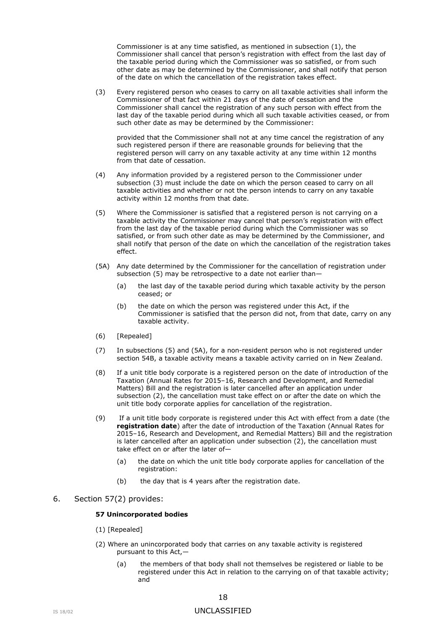Commissioner is at any time satisfied, as mentioned in subsection (1), the Commissioner shall cancel that person's registration with effect from the last day of the taxable period during which the Commissioner was so satisfied, or from such other date as may be determined by the Commissioner, and shall notify that person of the date on which the cancellation of the registration takes effect.

(3) Every registered person who ceases to carry on all taxable activities shall inform the Commissioner of that fact within 21 days of the date of cessation and the Commissioner shall cancel the registration of any such person with effect from the last day of the taxable period during which all such taxable activities ceased, or from such other date as may be determined by the Commissioner:

provided that the Commissioner shall not at any time cancel the registration of any such registered person if there are reasonable grounds for believing that the registered person will carry on any taxable activity at any time within 12 months from that date of cessation.

- (4) Any information provided by a registered person to the Commissioner under subsection (3) must include the date on which the person ceased to carry on all taxable activities and whether or not the person intends to carry on any taxable activity within 12 months from that date.
- (5) Where the Commissioner is satisfied that a registered person is not carrying on a taxable activity the Commissioner may cancel that person's registration with effect from the last day of the taxable period during which the Commissioner was so satisfied, or from such other date as may be determined by the Commissioner, and shall notify that person of the date on which the cancellation of the registration takes effect.
- (5A) Any date determined by the Commissioner for the cancellation of registration under subsection (5) may be retrospective to a date not earlier than—
	- (a) the last day of the taxable period during which taxable activity by the person ceased; or
	- (b) the date on which the person was registered under this Act, if the Commissioner is satisfied that the person did not, from that date, carry on any taxable activity.
- (6) [Repealed]
- (7) In subsections (5) and (5A), for a non-resident person who is not registered under [section 54B,](http://legislation.govt.nz/act/public/1985/0141/latest/link.aspx?search=ts_act%40bill%40regulation%40deemedreg_goods+and+services+tax+act_resel_25_a&p=1&id=DLM6032729#DLM6032729) a taxable activity means a taxable activity carried on in New Zealand.
- (8) If a unit title body corporate is a registered person on the date of introduction of the Taxation (Annual Rates for 2015–16, Research and Development, and Remedial Matters) Bill and the registration is later cancelled after an application under subsection (2), the cancellation must take effect on or after the date on which the unit title body corporate applies for cancellation of the registration.
- (9) If a unit title body corporate is registered under this Act with effect from a date (the **registration date**) after the date of introduction of the Taxation (Annual Rates for 2015–16, Research and Development, and Remedial Matters) Bill and the registration is later cancelled after an application under subsection (2), the cancellation must take effect on or after the later of—
	- (a) the date on which the unit title body corporate applies for cancellation of the registration:
	- (b) the day that is 4 years after the registration date.

#### 6. Section 57(2) provides:

#### **57 Unincorporated bodies**

- (1) [Repealed]
- (2) Where an unincorporated body that carries on any taxable activity is registered pursuant to this Act,—
	- (a) the members of that body shall not themselves be registered or liable to be registered under this Act in relation to the carrying on of that taxable activity; and